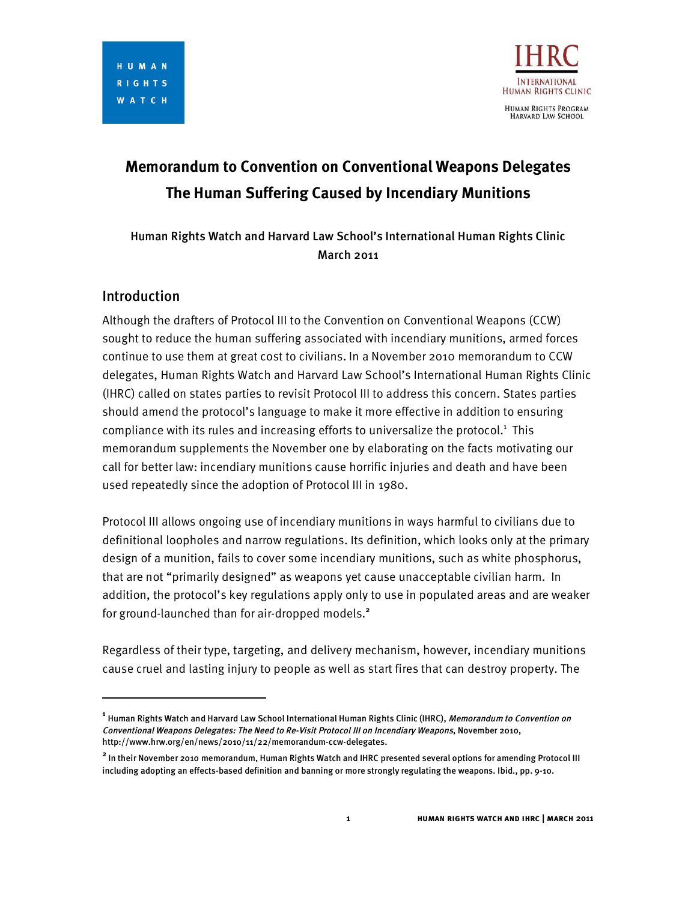

# **Memorandum to Convention on Conventional Weapons Delegates The Human Suffering Caused by Incendiary Munitions**

Human Rights Watch and Harvard Law School's International Human Rights Clinic March 2011

# Introduction

I

Although the drafters of Protocol III to the Convention on Conventional Weapons (CCW) sought to reduce the human suffering associated with incendiary munitions, armed forces continue to use them at great cost to civilians. In a November 2010 memorandum to CCW delegates, Human Rights Watch and Harvard Law School's International Human Rights Clinic (IHRC) called on states parties to revisit Protocol III to address this concern. States parties should amend the protocol's language to make it more effective in addition to ensuring compliance with its rules and increasing efforts to universalize the protocol. <sup>1</sup> This memorandum supplements the November one by elaborating on the facts motivating our call for better law: incendiary munitions cause horrific injuries and death and have been used repeatedly since the adoption of Protocol III in 1980.

Protocol III allows ongoing use of incendiary munitions in ways harmful to civilians due to definitional loopholes and narrow regulations. Its definition, which looks only at the primary design of a munition, fails to cover some incendiary munitions, such as white phosphorus, that are not "primarily designed" as weapons yet cause unacceptable civilian harm. In addition, the protocol's key regulations apply only to use in populated areas and are weaker for ground-launched than for air-dropped models. **2**

Regardless of their type, targeting, and delivery mechanism, however, incendiary munitions cause cruel and lasting injury to people as well as start fires that can destroy property. The

**<sup>1</sup>** Human Rights Watch and Harvard Law School International Human Rights Clinic (IHRC), Memorandum to Convention on Conventional Weapons Delegates: The Need to Re-Visit Protocol III on Incendiary Weapons, November 2010, http://www.hrw.org/en/news/2010/11/22/memorandum-ccw-delegates.

**<sup>2</sup>** In their November <sup>2010</sup> memorandum, Human Rights Watch and IHRC presented several options for amending Protocol III including adopting an effects-based definition and banning or more strongly regulating the weapons. Ibid., pp. 9-10.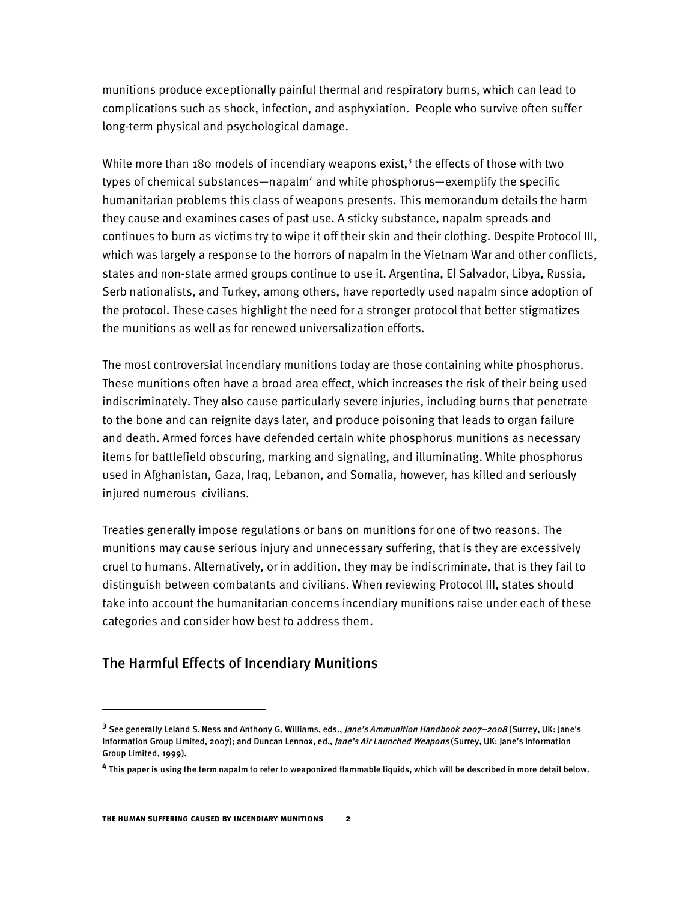munitions produce exceptionally painful thermal and respiratory burns, which can lead to complications such as shock, infection, and asphyxiation. People who survive often suffer long-term physical and psychological damage.

While more than 180 models of incendiary weapons exist, <sup>3</sup> the effects of those with two types of chemical substances—napalm<sup>4</sup> and white phosphorus—exemplify the specific humanitarian problems this class of weapons presents. This memorandum details the harm they cause and examines cases of past use. A sticky substance, napalm spreads and continues to burn as victims try to wipe it off their skin and their clothing. Despite Protocol III, which was largely a response to the horrors of napalm in the Vietnam War and other conflicts, states and non-state armed groups continue to use it. Argentina, El Salvador, Libya, Russia, Serb nationalists, and Turkey, among others, have reportedly used napalm since adoption of the protocol. These cases highlight the need for a stronger protocol that better stigmatizes the munitions as well as for renewed universalization efforts.

The most controversial incendiary munitions today are those containing white phosphorus. These munitions often have a broad area effect, which increases the risk of their being used indiscriminately. They also cause particularly severe injuries, including burns that penetrate to the bone and can reignite days later, and produce poisoning that leads to organ failure and death. Armed forces have defended certain white phosphorus munitions as necessary items for battlefield obscuring, marking and signaling, and illuminating. White phosphorus used in Afghanistan, Gaza, Iraq, Lebanon, and Somalia, however, has killed and seriously injured numerous civilians.

Treaties generally impose regulations or bans on munitions for one of two reasons. The munitions may cause serious injury and unnecessary suffering, that is they are excessively cruel to humans. Alternatively, or in addition, they may be indiscriminate, that is they fail to distinguish between combatants and civilians. When reviewing Protocol III, states should take into account the humanitarian concerns incendiary munitions raise under each of these categories and consider how best to address them.

# The Harmful Effects of Incendiary Munitions

I

**<sup>3</sup>** See generally Leland S. Ness and Anthony G. Williams, eds., Jane's Ammunition Handbook 2007–2008 (Surrey, UK: Jane's Information Group Limited, 2007); and Duncan Lennox, ed., Jane's Air Launched Weapons (Surrey, UK: Jane's Information Group Limited, 1999).

**<sup>4</sup>** This paper is using the term napalm to refer to weaponized flammable liquids, which will be described in more detail below.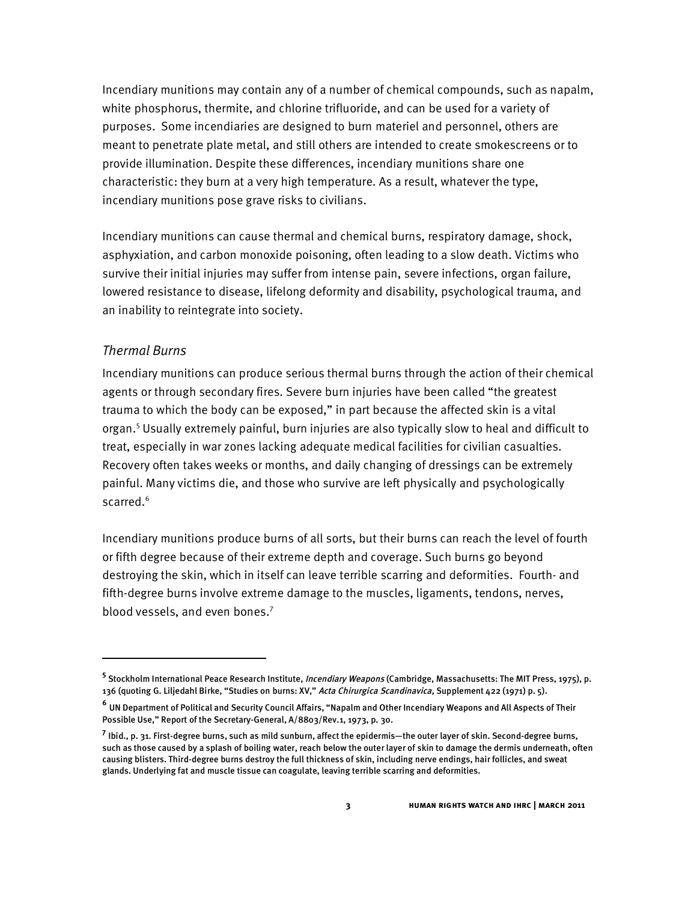Incendiary munitions may contain any of a number of chemical compounds, such as napalm, white phosphorus, thermite, and chlorine trifluoride, and can be used for a variety of purposes. Some incendiaries are designed to burn materiel and personnel, others are meant to penetrate plate metal, and still others are intended to create smokescreens or to provide illumination. Despite these differences, incendiary munitions share one characteristic: they burn at a very high temperature. As a result, whatever the type, incendiary munitions pose grave risks to civilians.

Incendiary munitions can cause thermal and chemical burns, respiratory damage, shock, asphyxiation, and carbon monoxide poisoning, often leading to a slow death. Victims who survive their initial injuries may suffer from intense pain, severe infections, organ failure, lowered resistance to disease, lifelong deformity and disability, psychological trauma, and an inability to reintegrate into society.

# *Thermal Burns*

 $\overline{a}$ 

Incendiary munitions can produce serious thermal burns through the action of their chemical agents or through secondary fires. Severe burn injuries have been called "the greatest trauma to which the body can be exposed," in part because the affected skin is a vital organ. <sup>5</sup> Usually extremely painful, burn injuries are also typically slow to heal and difficult to treat, especially in war zones lacking adequate medical facilities for civilian casualties. Recovery often takes weeks or months, and daily changing of dressings can be extremely painful. Many victims die, and those who survive are left physically and psychologically scarred. 6

Incendiary munitions produce burns of all sorts, but their burns can reach the level of fourth or fifth degree because of their extreme depth and coverage. Such burns go beyond destroying the skin, which in itself can leave terrible scarring and deformities. Fourth- and fifth-degree burns involve extreme damage to the muscles, ligaments, tendons, nerves, blood vessels, and even bones. 7

**<sup>5</sup>** Stockholm International Peace Research Institute, Incendiary Weapons (Cambridge, Massachusetts: The MIT Press, 1975), p. 136 (quoting G. Liljedahl Birke, "Studies on burns: XV," Acta Chirurgica Scandinavica, Supplement 422 (1971) p. 5).

**<sup>6</sup>** UN Department of Political and Security Council Affairs, "Napalm and Other Incendiary Weapons and All Aspects of Their Possible Use," Report of the Secretary-General, A/8803/Rev.1, 1973, p. 30.

**<sup>7</sup>** Ibid., p. 31. First-degree burns, such as mild sunburn, affect the epidermis—the outer layer of skin. Second-degree burns, such as those caused by a splash of boiling water, reach below the outer layer of skin to damage the dermis underneath, often causing blisters. Third-degree burns destroy the full thickness of skin, including nerve endings, hair follicles, and sweat glands. Underlying fat and muscle tissue can coagulate, leaving terrible scarring and deformities.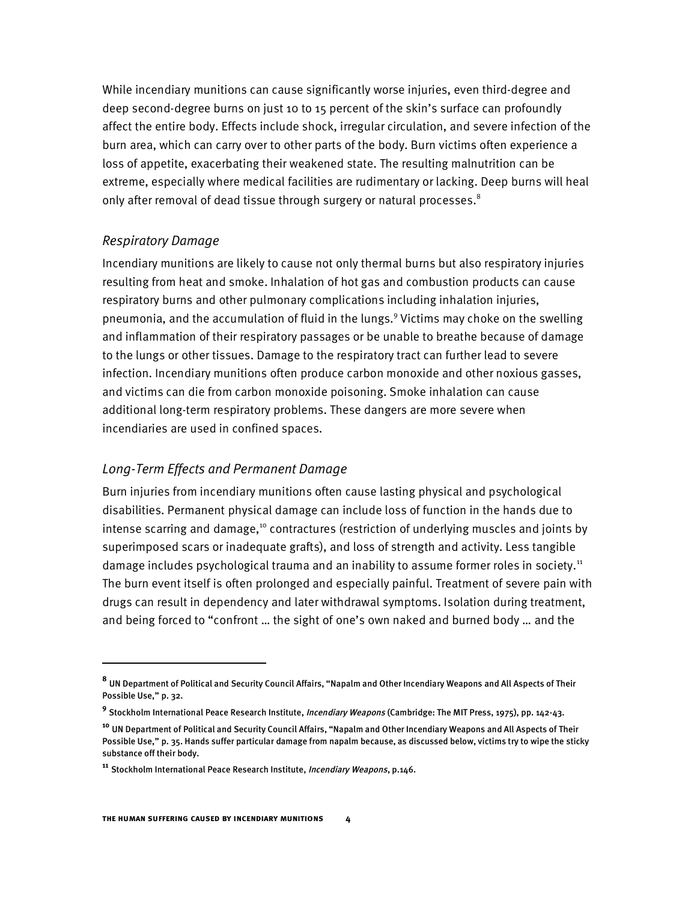While incendiary munitions can cause significantly worse injuries, even third-degree and deep second-degree burns on just 10 to 15 percent of the skin's surface can profoundly affect the entire body. Effects include shock, irregular circulation, and severe infection of the burn area, which can carry over to other parts of the body. Burn victims often experience a loss of appetite, exacerbating their weakened state. The resulting malnutrition can be extreme, especially where medical facilities are rudimentary or lacking. Deep burns will heal only after removal of dead tissue through surgery or natural processes. $^8$ 

#### *Respiratory Damage*

I

Incendiary munitions are likely to cause not only thermal burns but also respiratory injuries resulting from heat and smoke. Inhalation of hot gas and combustion products can cause respiratory burns and other pulmonary complications including inhalation injuries, pneumonia, and the accumulation of fluid in the lungs. <sup>9</sup> Victims may choke on the swelling and inflammation of their respiratory passages or be unable to breathe because of damage to the lungs or other tissues. Damage to the respiratory tract can further lead to severe infection. Incendiary munitions often produce carbon monoxide and other noxious gasses, and victims can die from carbon monoxide poisoning. Smoke inhalation can cause additional long-term respiratory problems. These dangers are more severe when incendiaries are used in confined spaces.

# *Long-Term Effects and Permanent Damage*

Burn injuries from incendiary munitions often cause lasting physical and psychological disabilities. Permanent physical damage can include loss of function in the hands due to intense scarring and damage,<sup>10</sup> contractures (restriction of underlying muscles and joints by superimposed scars or inadequate grafts), and loss of strength and activity. Less tangible damage includes psychological trauma and an inability to assume former roles in society.<sup>11</sup> The burn event itself is often prolonged and especially painful. Treatment of severe pain with drugs can result in dependency and later withdrawal symptoms. Isolation during treatment, and being forced to "confront … the sight of one's own naked and burned body … and the

**<sup>8</sup>** UN Department of Political and Security Council Affairs, "Napalm and Other Incendiary Weapons and All Aspects of Their Possible Use," p. 32.

**<sup>9</sup>** Stockholm International Peace Research Institute, Incendiary Weapons (Cambridge: The MIT Press, 1975), pp. 142-43.

**<sup>10</sup>** UN Department of Political and Security Council Affairs, "Napalm and Other Incendiary Weapons and All Aspects of Their Possible Use," p. 35. Hands suffer particular damage from napalm because, as discussed below, victims try to wipe the sticky substance off their body.

**<sup>11</sup>** Stockholm International Peace Research Institute, Incendiary Weapons, p.146.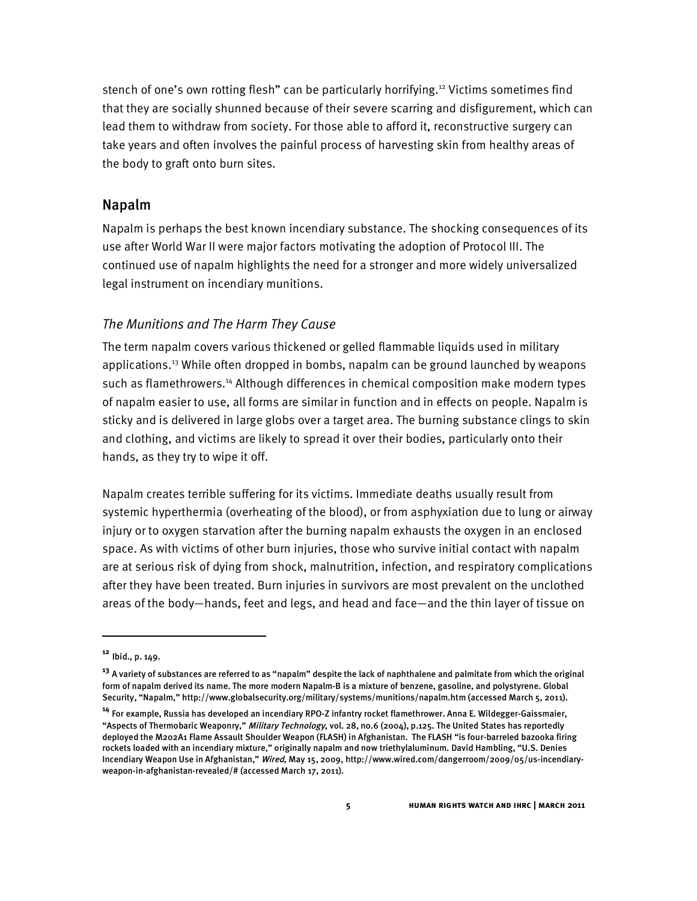stench of one's own rotting flesh" can be particularly horrifying.<sup>12</sup> Victims sometimes find that they are socially shunned because of their severe scarring and disfigurement, which can lead them to withdraw from society. For those able to afford it, reconstructive surgery can take years and often involves the painful process of harvesting skin from healthy areas of the body to graft onto burn sites.

# Napalm

Napalm is perhaps the best known incendiary substance. The shocking consequences of its use after World War II were major factors motivating the adoption of Protocol III. The continued use of napalm highlights the need for a stronger and more widely universalized legal instrument on incendiary munitions.

## *The Munitions and The Harm They Cause*

The term napalm covers various thickened or gelled flammable liquids used in military applications. <sup>13</sup> While often dropped in bombs, napalm can be ground launched by weapons such as flamethrowers.<sup>14</sup> Although differences in chemical composition make modern types of napalm easier to use, all forms are similar in function and in effects on people. Napalm is sticky and is delivered in large globs over a target area. The burning substance clings to skin and clothing, and victims are likely to spread it over their bodies, particularly onto their hands, as they try to wipe it off.

Napalm creates terrible suffering for its victims. Immediate deaths usually result from systemic hyperthermia (overheating of the blood), or from asphyxiation due to lung or airway injury or to oxygen starvation after the burning napalm exhausts the oxygen in an enclosed space. As with victims of other burn injuries, those who survive initial contact with napalm are at serious risk of dying from shock, malnutrition, infection, and respiratory complications after they have been treated. Burn injuries in survivors are most prevalent on the unclothed areas of the body—hands, feet and legs, and head and face—and the thin layer of tissue on

**<sup>12</sup>** Ibid., p. 149.

**<sup>13</sup>** <sup>A</sup> variety of substances are referred to as "napalm" despite the lack of naphthalene and palmitate from which the original form of napalm derived its name. The more modern Napalm-B is a mixture of benzene, gasoline, and polystyrene. Global Security, "Napalm," http://www.globalsecurity.org/military/systems/munitions/napalm.htm (accessed March 5, 2011).

**<sup>14</sup>** For example, Russia has developed an incendiary RPO-Z infantry rocket flamethrower. Anna E. Wildegger-Gaissmaier, "Aspects of Thermobaric Weaponry," Military Technology, vol. 28, no.6 (2004), p.125. The United States has reportedly deployed the M202A1 Flame Assault Shoulder Weapon (FLASH) in Afghanistan. The FLASH "is four-barreled bazooka firing rockets loaded with an incendiary mixture," originally napalm and now triethylaluminum. David Hambling, "U.S. Denies Incendiary Weapon Use in Afghanistan," Wired, May 15, 2009, http://www.wired.com/dangerroom/2009/05/us-incendiaryweapon-in-afghanistan-revealed/# (accessed March 17, 2011).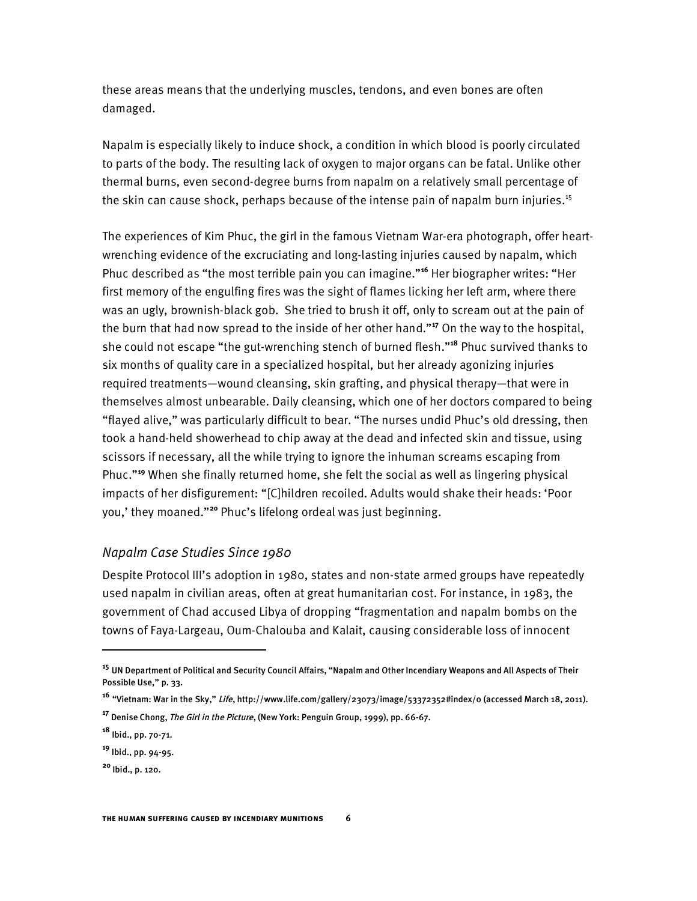these areas means that the underlying muscles, tendons, and even bones are often damaged.

Napalm is especially likely to induce shock, a condition in which blood is poorly circulated to parts of the body. The resulting lack of oxygen to major organs can be fatal. Unlike other thermal burns, even second-degree burns from napalm on a relatively small percentage of the skin can cause shock, perhaps because of the intense pain of napalm burn injuries.<sup>15</sup>

The experiences of Kim Phuc, the girl in the famous Vietnam War-era photograph, offer heartwrenching evidence of the excruciating and long-lasting injuries caused by napalm, which Phuc described as "the most terrible pain you can imagine."**<sup>16</sup>** Her biographer writes: "Her first memory of the engulfing fires was the sight of flames licking her left arm, where there was an ugly, brownish-black gob. She tried to brush it off, only to scream out at the pain of the burn that had now spread to the inside of her other hand."**<sup>17</sup>** On the way to the hospital, she could not escape "the gut-wrenching stench of burned flesh."**<sup>18</sup>** Phuc survived thanks to six months of quality care in a specialized hospital, but her already agonizing injuries required treatments—wound cleansing, skin grafting, and physical therapy—that were in themselves almost unbearable. Daily cleansing, which one of her doctors compared to being "flayed alive," was particularly difficult to bear. "The nurses undid Phuc's old dressing, then took a hand-held showerhead to chip away at the dead and infected skin and tissue, using scissors if necessary, all the while trying to ignore the inhuman screams escaping from Phuc."**<sup>19</sup>** When she finally returned home, she felt the social as well as lingering physical impacts of her disfigurement: "[C]hildren recoiled. Adults would shake their heads: 'Poor you,' they moaned."**<sup>20</sup>** Phuc's lifelong ordeal was just beginning.

#### *Napalm Case Studies Since 1980*

Despite Protocol III's adoption in 1980, states and non-state armed groups have repeatedly used napalm in civilian areas, often at great humanitarian cost. For instance, in 1983, the government of Chad accused Libya of dropping "fragmentation and napalm bombs on the towns of Faya-Largeau, Oum-Chalouba and Kalait, causing considerable loss of innocent

**<sup>15</sup>** UN Department of Political and Security Council Affairs, "Napalm and Other Incendiary Weapons and All Aspects of Their Possible Use," p. 33.

**<sup>16</sup>** "Vietnam: War in the Sky," Life, http://www.life.com/gallery/23073/image/53372352#index/0 (accessed March 18, 2011).

**<sup>17</sup>** Denise Chong, The Girl in the Picture, (New York: Penguin Group, 1999), pp. 66-67.

**<sup>18</sup>** Ibid., pp. 70-71.

**<sup>19</sup>** Ibid., pp. 94-95.

**<sup>20</sup>** Ibid., p. 120.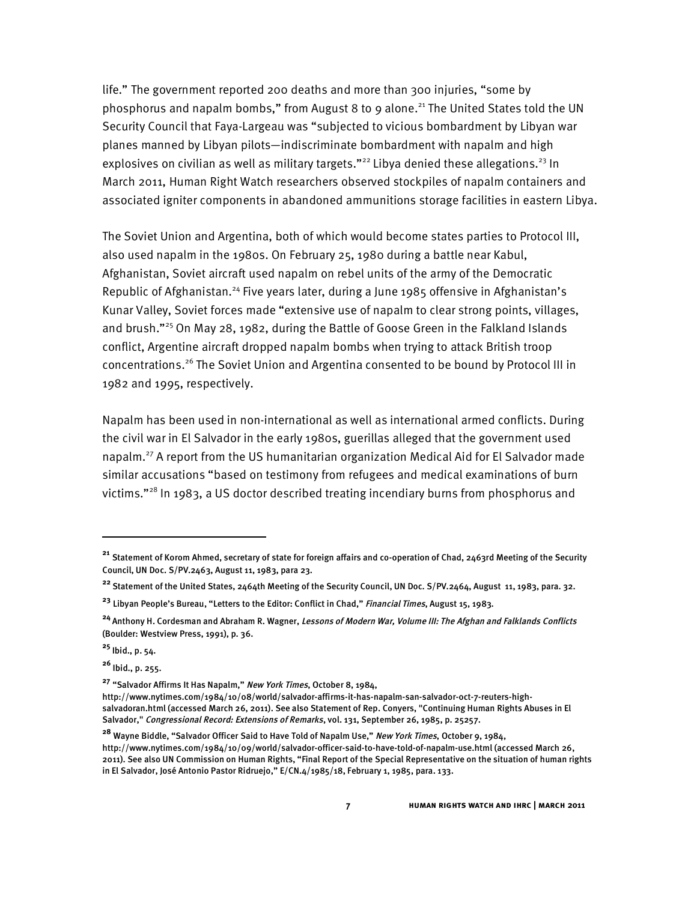life." The government reported 200 deaths and more than 300 injuries, "some by phosphorus and napalm bombs," from August 8 to 9 alone.<sup>21</sup> The United States told the UN Security Council that Faya-Largeau was "subjected to vicious bombardment by Libyan war planes manned by Libyan pilots—indiscriminate bombardment with napalm and high explosives on civilian as well as military targets."<sup>22</sup> Libya denied these allegations.<sup>23</sup> In March 2011, Human Right Watch researchers observed stockpiles of napalm containers and associated igniter components in abandoned ammunitions storage facilities in eastern Libya.

The Soviet Union and Argentina, both of which would become states parties to Protocol III, also used napalm in the 1980s. On February 25, 1980 during a battle near Kabul, Afghanistan, Soviet aircraft used napalm on rebel units of the army of the Democratic Republic of Afghanistan.<sup>24</sup> Five years later, during a June 1985 offensive in Afghanistan's Kunar Valley, Soviet forces made "extensive use of napalm to clear strong points, villages, and brush."<sup>25</sup> On May 28, 1982, during the Battle of Goose Green in the Falkland Islands conflict, Argentine aircraft dropped napalm bombs when trying to attack British troop concentrations. <sup>26</sup> The Soviet Union and Argentina consented to be bound by Protocol III in 1982 and 1995, respectively.

Napalm has been used in non-international as well as international armed conflicts. During the civil war in El Salvador in the early 1980s, guerillas alleged that the government used napalm. <sup>27</sup> A report from the US humanitarian organization Medical Aid for El Salvador made similar accusations "based on testimony from refugees and medical examinations of burn victims."<sup>28</sup> In 1983, a US doctor described treating incendiary burns from phosphorus and

**<sup>25</sup>** Ibid., p. 54.

I

**<sup>26</sup>** Ibid., p. 255.

**<sup>27</sup>** "Salvador Affirms It Has Napalm," New York Times, October 8, 1984,

**<sup>21</sup>** Statement of Korom Ahmed, secretary of state for foreign affairs and co-operation of Chad, 2463rd Meeting of the Security Council, UN Doc. S/PV.2463, August 11, 1983, para 23.

**<sup>22</sup>** Statement of the United States, 2464th Meeting of the Security Council, UN Doc. S/PV.2464, August 11, 1983, para. 32.

<sup>&</sup>lt;sup>23</sup> Libyan People's Bureau, "Letters to the Editor: Conflict in Chad," Financial Times, August 15, 1983.

**<sup>24</sup>** Anthony H. Cordesman and Abraham R. Wagner, Lessons of Modern War, Volume III: The Afghan and Falklands Conflicts (Boulder: Westview Press, 1991), p. 36.

http://www.nytimes.com/1984/10/08/world/salvador-affirms-it-has-napalm-san-salvador-oct-7-reuters-highsalvadoran.html (accessed March 26, 2011). See also Statement of Rep. Conyers, "Continuing Human Rights Abuses in El Salvador," Congressional Record: Extensions of Remarks, vol. 131, September 26, 1985, p. 25257.

**<sup>28</sup>** Wayne Biddle, "Salvador Officer Said to Have Told of Napalm Use," New York Times, October 9, 1984, http://www.nytimes.com/1984/10/09/world/salvador-officer-said-to-have-told-of-napalm-use.html (accessed March 26, 2011). See also UN Commission on Human Rights, "Final Report of the Special Representative on the situation of human rights in El Salvador, José Antonio Pastor Ridruejo," E/CN.4/1985/18, February 1, 1985, para. 133.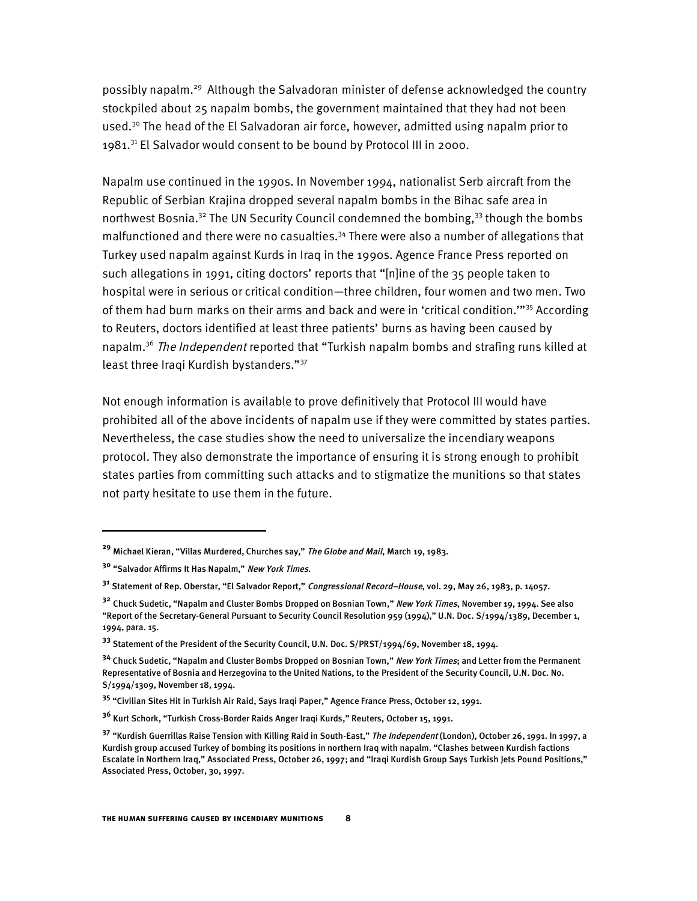possibly napalm.<sup>29</sup> Although the Salvadoran minister of defense acknowledged the country stockpiled about 25 napalm bombs, the government maintained that they had not been used.<sup>30</sup> The head of the El Salvadoran air force, however, admitted using napalm prior to 1981.<sup>31</sup> El Salvador would consent to be bound by Protocol III in 2000.

Napalm use continued in the 1990s. In November 1994, nationalist Serb aircraft from the Republic of Serbian Krajina dropped several napalm bombs in the Bihac safe area in northwest Bosnia.<sup>32</sup> The UN Security Council condemned the bombing,<sup>33</sup> though the bombs malfunctioned and there were no casualties. <sup>34</sup> There were also a number of allegations that Turkey used napalm against Kurds in Iraq in the 1990s. Agence France Press reported on such allegations in 1991, citing doctors' reports that "[n]ine of the 35 people taken to hospital were in serious or critical condition—three children, four women and two men. Two of them had burn marks on their arms and back and were in 'critical condition."<sup>35</sup> According to Reuters, doctors identified at least three patients' burns as having been caused by napalm.<sup>36</sup> *The Independent* reported that "Turkish napalm bombs and strafing runs killed at least three Iraqi Kurdish bystanders."<sup>37</sup>

Not enough information is available to prove definitively that Protocol III would have prohibited all of the above incidents of napalm use if they were committed by states parties. Nevertheless, the case studies show the need to universalize the incendiary weapons protocol. They also demonstrate the importance of ensuring it is strong enough to prohibit states parties from committing such attacks and to stigmatize the munitions so that states not party hesitate to use them in the future.

**<sup>29</sup>** Michael Kieran, "Villas Murdered, Churches say," The Globe and Mail, March 19, 1983.

**<sup>30</sup>** "Salvador Affirms It Has Napalm," New York Times.

**<sup>31</sup>** Statement of Rep. Oberstar, "El Salvador Report," Congressional Record–House, vol. 29, May 26, 1983, p. 14057.

**<sup>32</sup>** Chuck Sudetic, "Napalm and Cluster Bombs Dropped on Bosnian Town," New York Times, November 19, 1994. See also "Report of the Secretary-General Pursuant to Security Council Resolution 959 (1994)," U.N. Doc. S/1994/1389, December 1, 1994, para. 15.

**<sup>33</sup>** Statement of the President of the Security Council, U.N. Doc. S/PRST/1994/69, November 18, 1994.

**<sup>34</sup>** Chuck Sudetic, "Napalm and Cluster Bombs Dropped on Bosnian Town," New York Times; and Letter from the Permanent Representative of Bosnia and Herzegovina to the United Nations, to the President of the Security Council, U.N. Doc. No. S/1994/1309, November 18, 1994.

**<sup>35</sup>** "Civilian Sites Hit in Turkish Air Raid, Says Iraqi Paper," Agence France Press, October 12, 1991.

**<sup>36</sup>** Kurt Schork, "Turkish Cross-Border Raids Anger Iraqi Kurds," Reuters, October 15, 1991.

**<sup>37</sup>** "Kurdish Guerrillas Raise Tension with Killing Raid in South-East," The Independent (London), October 26, 1991. In 1997, <sup>a</sup> Kurdish group accused Turkey of bombing its positions in northern Iraq with napalm. "Clashes between Kurdish factions Escalate in Northern Iraq," Associated Press, October 26, 1997; and "Iraqi Kurdish Group Says Turkish Jets Pound Positions," Associated Press, October, 30, 1997.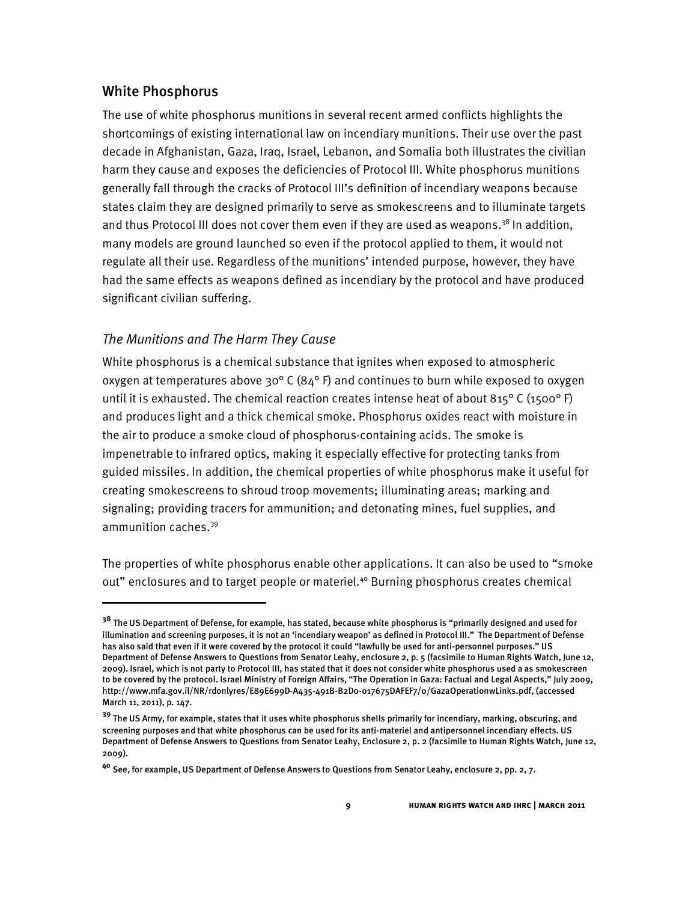# White Phosphorus

 $\overline{a}$ 

The use of white phosphorus munitions in several recent armed conflicts highlights the shortcomings of existing international law on incendiary munitions. Their use over the past decade in Afghanistan, Gaza, Iraq, Israel, Lebanon, and Somalia both illustrates the civilian harm they cause and exposes the deficiencies of Protocol III. White phosphorus munitions generally fall through the cracks of Protocol III's definition of incendiary weapons because states claim they are designed primarily to serve as smokescreens and to illuminate targets and thus Protocol III does not cover them even if they are used as weapons. $^{38}$  In addition, many models are ground launched so even if the protocol applied to them, it would not regulate all their use. Regardless of the munitions' intended purpose, however, they have had the same effects as weapons defined as incendiary by the protocol and have produced significant civilian suffering.

## *The Munitions and The Harm They Cause*

White phosphorus is a chemical substance that ignites when exposed to atmospheric oxygen at temperatures above 30° C (84° F) and continues to burn while exposed to oxygen until it is exhausted. The chemical reaction creates intense heat of about 815° C (1500° F) and produces light and a thick chemical smoke. Phosphorus oxides react with moisture in the air to produce a smoke cloud of phosphorus-containing acids. The smoke is impenetrable to infrared optics, making it especially effective for protecting tanks from guided missiles. In addition, the chemical properties of white phosphorus make it useful for creating smokescreens to shroud troop movements; illuminating areas; marking and signaling; providing tracers for ammunition; and detonating mines, fuel supplies, and ammunition caches. 39

The properties of white phosphorus enable other applications. It can also be used to "smoke out" enclosures and to target people or materiel.<sup>40</sup> Burning phosphorus creates chemical

**<sup>38</sup>** The US Department of Defense, for example, has stated, because white phosphorus is "primarily designed and used for illumination and screening purposes, it is not an 'incendiary weapon' as defined in Protocol III." The Department of Defense has also said that even if it were covered by the protocol it could "lawfully be used for anti-personnel purposes." US Department of Defense Answers to Questions from Senator Leahy, enclosure 2, p. 5 (facsimile to Human Rights Watch, June 12, 2009). Israel, which is not party to Protocol III, has stated that it does not consider white phosphorus used a as smokescreen to be covered by the protocol. Israel Ministry of Foreign Affairs, "The Operation in Gaza: Factual and Legal Aspects," July 2009, http://www.mfa.gov.il/NR/rdonlyres/E89E699D-A435-491B-B2D0-017675DAFEF7/0/GazaOperationwLinks.pdf, (accessed March 11, 2011), p. 147.

**<sup>39</sup>** The US Army, for example, states that it uses white phosphorus shells primarily for incendiary, marking, obscuring, and screening purposes and that white phosphorus can be used for its anti-materiel and antipersonnel incendiary effects. US Department of Defense Answers to Questions from Senator Leahy, Enclosure 2, p. 2 (facsimile to Human Rights Watch, June 12, 2009).

**<sup>40</sup>** See, for example, US Department of Defense Answers to Questions from Senator Leahy, enclosure 2, pp. 2, 7.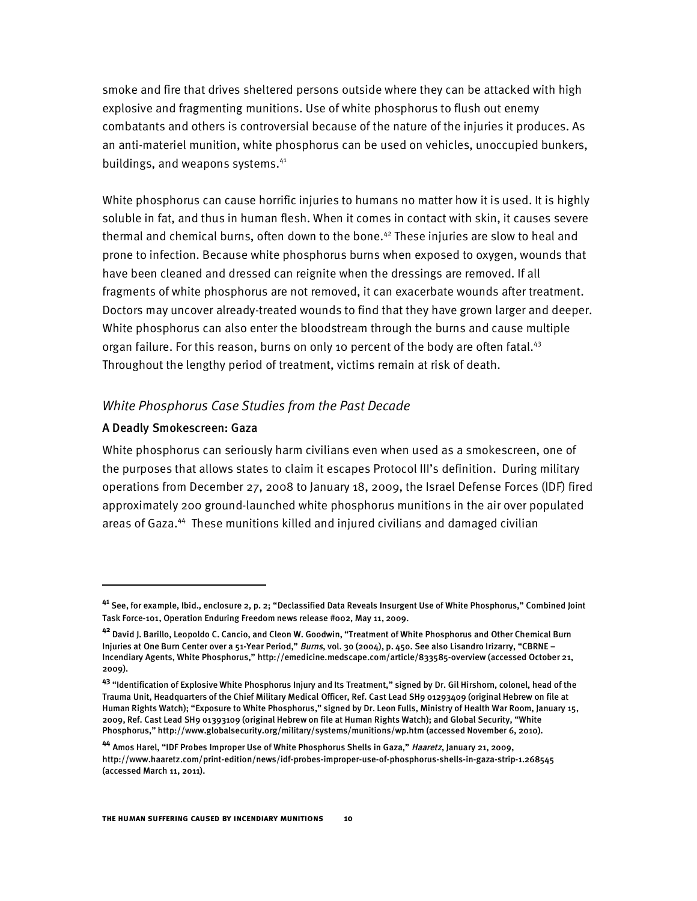smoke and fire that drives sheltered persons outside where they can be attacked with high explosive and fragmenting munitions. Use of white phosphorus to flush out enemy combatants and others is controversial because of the nature of the injuries it produces. As an anti-materiel munition, white phosphorus can be used on vehicles, unoccupied bunkers, buildings, and weapons systems.<sup>41</sup>

White phosphorus can cause horrific injuries to humans no matter how it is used. It is highly soluble in fat, and thus in human flesh. When it comes in contact with skin, it causes severe thermal and chemical burns, often down to the bone. <sup>42</sup> These injuries are slow to heal and prone to infection. Because white phosphorus burns when exposed to oxygen, wounds that have been cleaned and dressed can reignite when the dressings are removed. If all fragments of white phosphorus are not removed, it can exacerbate wounds after treatment. Doctors may uncover already-treated wounds to find that they have grown larger and deeper. White phosphorus can also enter the bloodstream through the burns and cause multiple organ failure. For this reason, burns on only 10 percent of the body are often fatal.<sup>43</sup> Throughout the lengthy period of treatment, victims remain at risk of death.

#### *White Phosphorus Case Studies from the Past Decade*

#### A Deadly Smokescreen: Gaza

 $\overline{a}$ 

White phosphorus can seriously harm civilians even when used as a smokescreen, one of the purposes that allows states to claim it escapes Protocol III's definition. During military operations from December 27, 2008 to January 18, 2009, the Israel Defense Forces (IDF) fired approximately 200 ground-launched white phosphorus munitions in the air over populated areas of Gaza. <sup>44</sup> These munitions killed and injured civilians and damaged civilian

**<sup>41</sup>** See, for example, Ibid., enclosure 2, p. 2; "Declassified Data Reveals Insurgent Use of White Phosphorus," Combined Joint Task Force-101, Operation Enduring Freedom news release #002, May 11, 2009.

**<sup>42</sup>** David J. Barillo, Leopoldo C. Cancio, and Cleon W. Goodwin, "Treatment of White Phosphorus and Other Chemical Burn Injuries at One Burn Center over a 51-Year Period," Burns, vol. 30 (2004), p. 450. See also Lisandro Irizarry, "CBRNE -Incendiary Agents, White Phosphorus," http://emedicine.medscape.com/article/833585-overview (accessed October 21, 2009).

**<sup>43</sup>** "Identification of Explosive White Phosphorus Injury and Its Treatment," signed by Dr. Gil Hirshorn, colonel, head of the Trauma Unit, Headquarters of the Chief Military Medical Officer, Ref. Cast Lead SH9 01293409 (original Hebrew on file at Human Rights Watch); "Exposure to White Phosphorus," signed by Dr. Leon Fulls, Ministry of Health War Room, January 15, 2009, Ref. Cast Lead SH9 01393109 (original Hebrew on file at Human Rights Watch); and Global Security, "White Phosphorus," http://www.globalsecurity.org/military/systems/munitions/wp.htm (accessed November 6, 2010).

**<sup>44</sup>** Amos Harel, "IDF Probes Improper Use of White Phosphorus Shells in Gaza," Haaretz, January 21, 2009, http://www.haaretz.com/print-edition/news/idf-probes-improper-use-of-phosphorus-shells-in-gaza-strip-1.268545 (accessed March 11, 2011).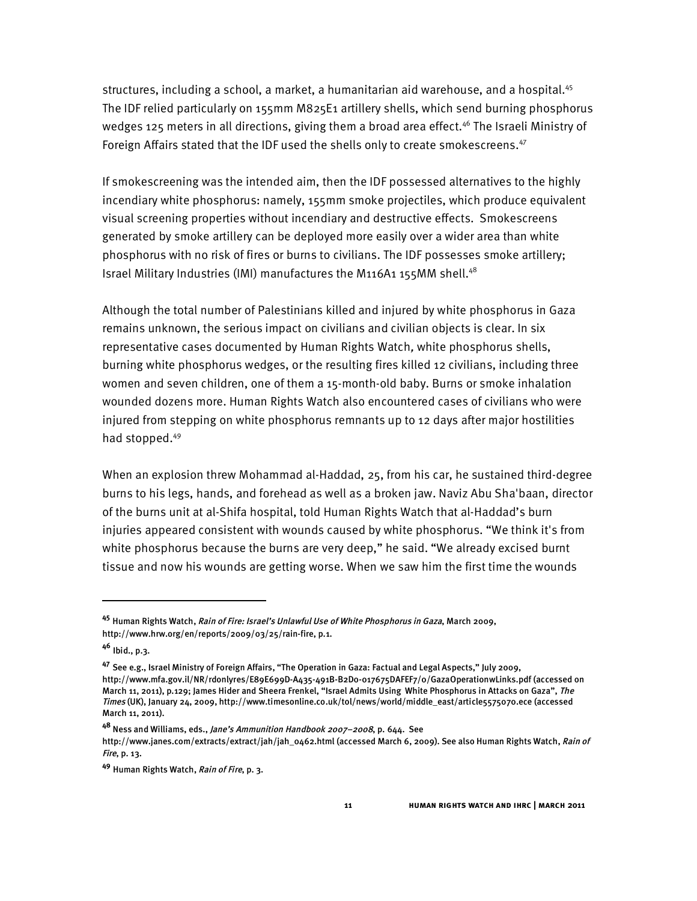structures, including a school, a market, a humanitarian aid warehouse, and a hospital.<sup>45</sup> The IDF relied particularly on 155mm M825E1 artillery shells, which send burning phosphorus wedges 125 meters in all directions, giving them a broad area effect. <sup>46</sup> The Israeli Ministry of Foreign Affairs stated that the IDF used the shells only to create smokescreens.<sup>47</sup>

If smokescreening was the intended aim, then the IDF possessed alternatives to the highly incendiary white phosphorus: namely, 155mm smoke projectiles, which produce equivalent visual screening properties without incendiary and destructive effects. Smokescreens generated by smoke artillery can be deployed more easily over a wider area than white phosphorus with no risk of fires or burns to civilians. The IDF possesses smoke artillery; Israel Military Industries (IMI) manufactures the M116A1 155MM shell.<sup>48</sup>

Although the total number of Palestinians killed and injured by white phosphorus in Gaza remains unknown, the serious impact on civilians and civilian objects is clear. In six representative cases documented by Human Rights Watch, white phosphorus shells, burning white phosphorus wedges, or the resulting fires killed 12 civilians, including three women and seven children, one of them a 15-month-old baby. Burns or smoke inhalation wounded dozens more. Human Rights Watch also encountered cases of civilians who were injured from stepping on white phosphorus remnants up to 12 days after major hostilities had stopped. 49

When an explosion threw Mohammad al-Haddad, 25, from his car, he sustained third-degree burns to his legs, hands, and forehead as well as a broken jaw. Naviz Abu Sha'baan, director of the burns unit at al-Shifa hospital, told Human Rights Watch that al-Haddad's burn injuries appeared consistent with wounds caused by white phosphorus. "We think it's from white phosphorus because the burns are very deep," he said. "We already excised burnt tissue and now his wounds are getting worse. When we saw him the first time the wounds

I

**<sup>45</sup>** Human Rights Watch, Rain of Fire: Israel's Unlawful Use of White Phosphorus in Gaza, March 2009, http://www.hrw.org/en/reports/2009/03/25/rain-fire, p.1.

**<sup>46</sup>** Ibid., p.3.

**<sup>47</sup>** See e.g., Israel Ministry of Foreign Affairs, "The Operation in Gaza: Factual and Legal Aspects," July 2009, http://www.mfa.gov.il/NR/rdonlyres/E89E699D-A435-491B-B2D0-017675DAFEF7/0/GazaOperationwLinks.pdf (accessed on March 11, 2011), p.129; James Hider and Sheera Frenkel, "Israel Admits Using White Phosphorus in Attacks on Gaza", The Times (UK), January 24, 2009, http://www.timesonline.co.uk/tol/news/world/middle\_east/article5575070.ece (accessed March 11, 2011).

**<sup>48</sup>** Ness and Williams, eds., Jane's Ammunition Handbook 2007–2008, p. 644. See http://www.janes.com/extracts/extract/jah/jah\_0462.html (accessed March 6, 2009). See also Human Rights Watch, Rain of Fire, p. 13.

**<sup>49</sup>** Human Rights Watch, Rain of Fire, p. 3.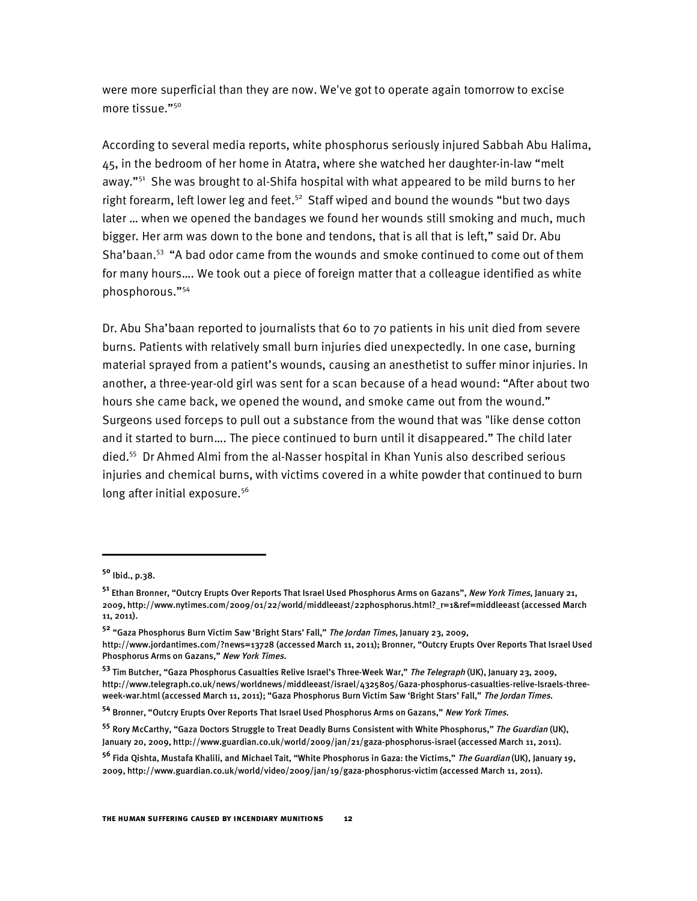were more superficial than they are now. We've got to operate again tomorrow to excise more tissue."<sup>50</sup>

According to several media reports, white phosphorus seriously injured Sabbah Abu Halima, 45, in the bedroom of her home in Atatra, where she watched her daughter-in-law "melt away."<sup>51</sup> She was brought to al-Shifa hospital with what appeared to be mild burns to her right forearm, left lower leg and feet.<sup>52</sup> Staff wiped and bound the wounds "but two days later … when we opened the bandages we found her wounds still smoking and much, much bigger. Her arm was down to the bone and tendons, that is all that is left," said Dr. Abu Sha'baan. <sup>53</sup> "A bad odor came from the wounds and smoke continued to come out of them for many hours…. We took out a piece of foreign matter that a colleague identified as white phosphorous."<sup>54</sup>

Dr. Abu Sha'baan reported to journalists that 60 to 70 patients in his unit died from severe burns. Patients with relatively small burn injuries died unexpectedly. In one case, burning material sprayed from a patient's wounds, causing an anesthetist to suffer minor injuries. In another, a three-year-old girl was sent for a scan because of a head wound: "After about two hours she came back, we opened the wound, and smoke came out from the wound." Surgeons used forceps to pull out a substance from the wound that was "like dense cotton and it started to burn…. The piece continued to burn until it disappeared." The child later died. <sup>55</sup> Dr Ahmed Almi from the al-Nasser hospital in Khan Yunis also described serious injuries and chemical burns, with victims covered in a white powder that continued to burn long after initial exposure.<sup>56</sup>

I

**<sup>50</sup>** Ibid., p.38.

**<sup>51</sup>** Ethan Bronner, "Outcry Erupts Over Reports That Israel Used Phosphorus Arms on Gazans", New York Times, January 21, 2009, http://www.nytimes.com/2009/01/22/world/middleeast/22phosphorus.html?\_r=1&ref=middleeast (accessed March 11, 2011).

**<sup>52</sup>** "Gaza Phosphorus Burn Victim Saw 'Bright Stars' Fall," The Jordan Times, January 23, 2009,

http://www.jordantimes.com/?news=13728 (accessed March 11, 2011); Bronner, "Outcry Erupts Over Reports That Israel Used Phosphorus Arms on Gazans," New York Times.

**<sup>53</sup>** Tim Butcher, "Gaza Phosphorus Casualties Relive Israel's Three-Week War," The Telegraph (UK), January 23, 2009, http://www.telegraph.co.uk/news/worldnews/middleeast/israel/4325805/Gaza-phosphorus-casualties-relive-Israels-threeweek-war.html (accessed March 11, 2011); "Gaza Phosphorus Burn Victim Saw 'Bright Stars' Fall," The Jordan Times.

**<sup>54</sup>** Bronner, "Outcry Erupts Over Reports That Israel Used Phosphorus Arms on Gazans," New York Times.

**<sup>55</sup>** Rory McCarthy, "Gaza Doctors Struggle to Treat Deadly Burns Consistent with White Phosphorus," The Guardian (UK), January 20, 2009, http://www.guardian.co.uk/world/2009/jan/21/gaza-phosphorus-israel (accessed March 11, 2011).

**<sup>56</sup>** Fida Qishta, Mustafa Khalili, and Michael Tait, "White Phosphorus in Gaza: the Victims," The Guardian (UK), January 19, 2009, http://www.guardian.co.uk/world/video/2009/jan/19/gaza-phosphorus-victim (accessed March 11, 2011).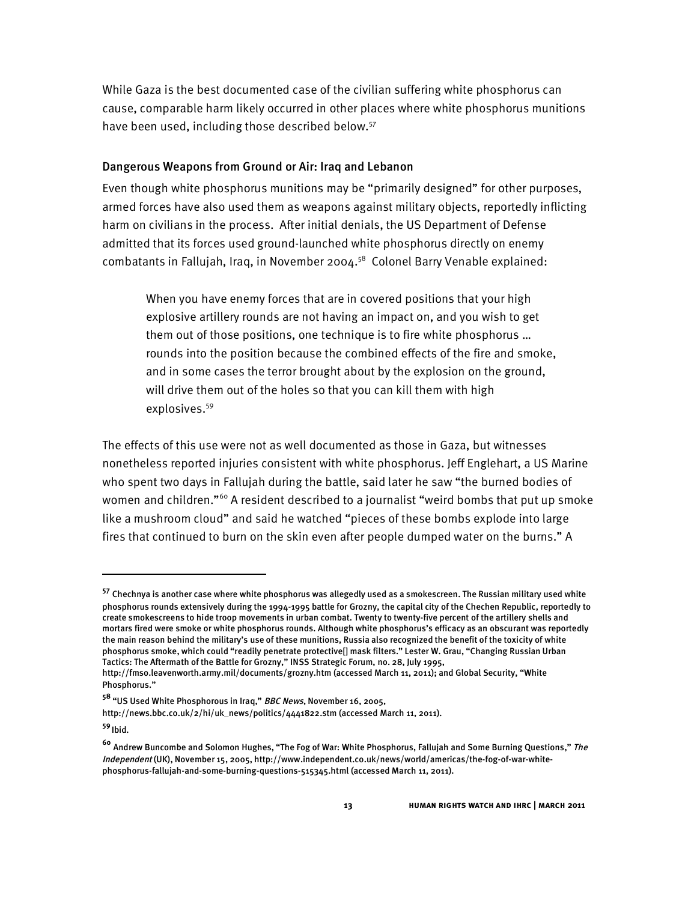While Gaza is the best documented case of the civilian suffering white phosphorus can cause, comparable harm likely occurred in other places where white phosphorus munitions have been used, including those described below.<sup>57</sup>

#### Dangerous Weapons from Ground or Air: Iraq and Lebanon

Even though white phosphorus munitions may be "primarily designed" for other purposes, armed forces have also used them as weapons against military objects, reportedly inflicting harm on civilians in the process. After initial denials, the US Department of Defense admitted that its forces used ground-launched white phosphorus directly on enemy combatants in Fallujah, Iraq, in November 2004. <sup>58</sup> Colonel Barry Venable explained:

When you have enemy forces that are in covered positions that your high explosive artillery rounds are not having an impact on, and you wish to get them out of those positions, one technique is to fire white phosphorus … rounds into the position because the combined effects of the fire and smoke, and in some cases the terror brought about by the explosion on the ground, will drive them out of the holes so that you can kill them with high explosives. 59

The effects of this use were not as well documented as those in Gaza, but witnesses nonetheless reported injuries consistent with white phosphorus. Jeff Englehart, a US Marine who spent two days in Fallujah during the battle, said later he saw "the burned bodies of women and children."<sup>60</sup> A resident described to a journalist "weird bombs that put up smoke like a mushroom cloud" and said he watched "pieces of these bombs explode into large fires that continued to burn on the skin even after people dumped water on the burns." A

**<sup>57</sup>** Chechnya is another case where white phosphorus was allegedly used as a smokescreen. The Russian military used white phosphorus rounds extensively during the 1994-1995 battle for Grozny, the capital city of the Chechen Republic, reportedly to create smokescreens to hide troop movements in urban combat. Twenty to twenty-five percent of the artillery shells and mortars fired were smoke or white phosphorus rounds. Although white phosphorus's efficacy as an obscurant was reportedly the main reason behind the military's use of these munitions, Russia also recognized the benefit of the toxicity of white phosphorus smoke, which could "readily penetrate protective[] mask filters." Lester W. Grau, "Changing Russian Urban Tactics: The Aftermath of the Battle for Grozny," INSS Strategic Forum, no. 28, July 1995,

http://fmso.leavenworth.army.mil/documents/grozny.htm (accessed March 11, 2011); and Global Security, "White Phosphorus."

**<sup>58</sup>** "US Used White Phosphorous in Iraq," BBC News, November 16, 2005,

http://news.bbc.co.uk/2/hi/uk\_news/politics/4441822.stm (accessed March 11, 2011).

**<sup>59</sup>** Ibid.

**<sup>60</sup>** Andrew Buncombe and Solomon Hughes, "The Fog of War: White Phosphorus, Fallujah and Some Burning Questions," The Independent (UK), November 15, 2005, http://www.independent.co.uk/news/world/americas/the-fog-of-war-whitephosphorus-fallujah-and-some-burning-questions-515345.html (accessed March 11, 2011).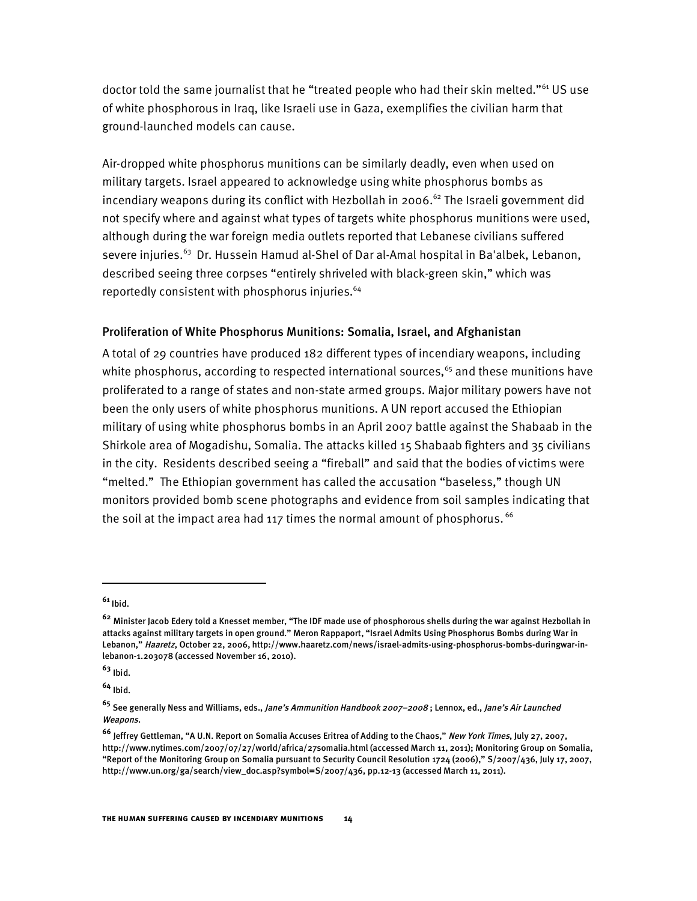doctor told the same journalist that he "treated people who had their skin melted."<sup>61</sup> US use of white phosphorous in Iraq, like Israeli use in Gaza, exemplifies the civilian harm that ground-launched models can cause.

Air-dropped white phosphorus munitions can be similarly deadly, even when used on military targets. Israel appeared to acknowledge using white phosphorus bombs as incendiary weapons during its conflict with Hezbollah in 2006. <sup>62</sup> The Israeli government did not specify where and against what types of targets white phosphorus munitions were used, although during the war foreign media outlets reported that Lebanese civilians suffered severe injuries.<sup>63</sup> Dr. Hussein Hamud al-Shel of Dar al-Amal hospital in Ba'albek, Lebanon, described seeing three corpses "entirely shriveled with black-green skin," which was reportedly consistent with phosphorus injuries. 64

## Proliferation of White Phosphorus Munitions: Somalia, Israel, and Afghanistan

A total of 29 countries have produced 182 different types of incendiary weapons, including white phosphorus, according to respected international sources, <sup>65</sup> and these munitions have proliferated to a range of states and non-state armed groups. Major military powers have not been the only users of white phosphorus munitions. A UN report accused the Ethiopian military of using white phosphorus bombs in an April 2007 battle against the Shabaab in the Shirkole area of Mogadishu, Somalia. The attacks killed 15 Shabaab fighters and 35 civilians in the city. Residents described seeing a "fireball" and said that the bodies of victims were "melted." The Ethiopian government has called the accusation "baseless," though UN monitors provided bomb scene photographs and evidence from soil samples indicating that the soil at the impact area had 117 times the normal amount of phosphorus.  $66$ 

I

**<sup>63</sup>** Ibid.

**<sup>64</sup>** Ibid.

**<sup>61</sup>** Ibid.

**<sup>62</sup>** Minister Jacob Edery told a Knesset member, "The IDF made use of phosphorous shells during the war against Hezbollah in attacks against military targets in open ground." Meron Rappaport, "Israel Admits Using Phosphorus Bombs during War in Lebanon," Haaretz, October 22, 2006, http://www.haaretz.com/news/israel-admits-using-phosphorus-bombs-duringwar-inlebanon-1.203078 (accessed November 16, 2010).

**<sup>65</sup>** See generally Ness and Williams, eds., Jane's Ammunition Handbook 2007–2008 ; Lennox, ed., Jane's Air Launched Weapons.

**<sup>66</sup>** Jeffrey Gettleman, "A U.N. Report on Somalia Accuses Eritrea of Adding to the Chaos," New York Times, July 27, 2007, http://www.nytimes.com/2007/07/27/world/africa/27somalia.html (accessed March 11, 2011); Monitoring Group on Somalia, "Report of the Monitoring Group on Somalia pursuant to Security Council Resolution 1724 (2006)," S/2007/436, July 17, 2007, http://www.un.org/ga/search/view\_doc.asp?symbol=S/2007/436, pp.12-13 (accessed March 11, 2011).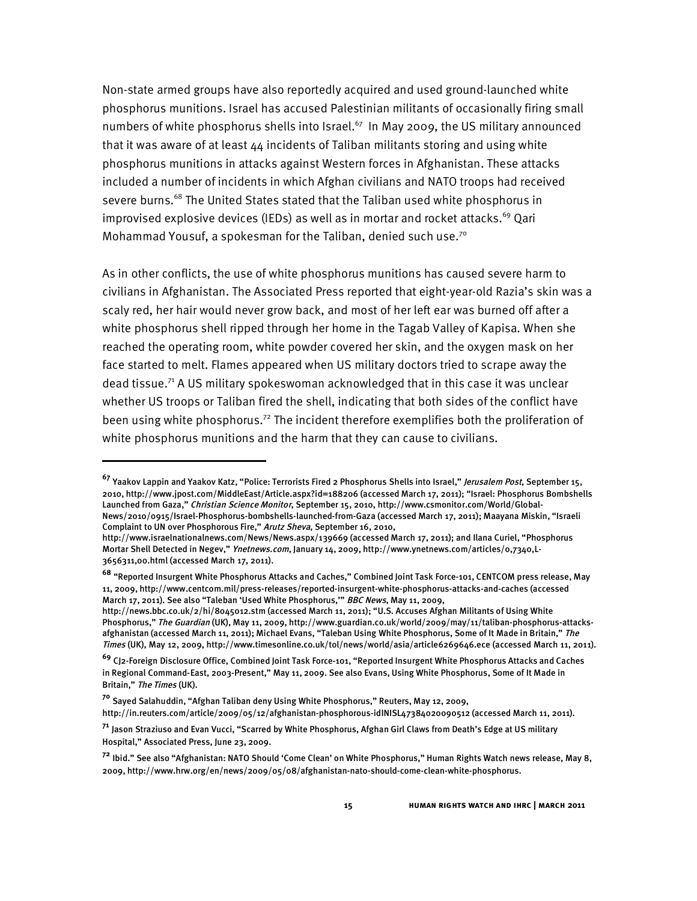Non-state armed groups have also reportedly acquired and used ground-launched white phosphorus munitions. Israel has accused Palestinian militants of occasionally firing small numbers of white phosphorus shells into Israel.<sup>67</sup> In May 2009, the US military announced that it was aware of at least 44 incidents of Taliban militants storing and using white phosphorus munitions in attacks against Western forces in Afghanistan. These attacks included a number of incidents in which Afghan civilians and NATO troops had received severe burns.<sup>68</sup> The United States stated that the Taliban used white phosphorus in improvised explosive devices (IEDs) as well as in mortar and rocket attacks. <sup>69</sup> Qari Mohammad Yousuf, a spokesman for the Taliban, denied such use.<sup>70</sup>

As in other conflicts, the use of white phosphorus munitions has caused severe harm to civilians in Afghanistan. The Associated Press reported that eight-year-old Razia's skin was a scaly red, her hair would never grow back, and most of her left ear was burned off after a white phosphorus shell ripped through her home in the Tagab Valley of Kapisa. When she reached the operating room, white powder covered her skin, and the oxygen mask on her face started to melt. Flames appeared when US military doctors tried to scrape away the dead tissue. <sup>71</sup> A US military spokeswoman acknowledged that in this case it was unclear whether US troops or Taliban fired the shell, indicating that both sides of the conflict have been using white phosphorus.<sup>72</sup> The incident therefore exemplifies both the proliferation of white phosphorus munitions and the harm that they can cause to civilians.

http://news.bbc.co.uk/2/hi/8045012.stm (accessed March 11, 2011); "U.S. Accuses Afghan Militants of Using White Phosphorus," The Guardian (UK), May 11, 2009, http://www.guardian.co.uk/world/2009/may/11/taliban-phosphorus-attacksafghanistan (accessed March 11, 2011); Michael Evans, "Taleban Using White Phosphorus, Some of It Made in Britain," The Times (UK), May 12, 2009, http://www.timesonline.co.uk/tol/news/world/asia/article6269646.ece (accessed March 11, 2011).

**<sup>67</sup>** Yaakov Lappin and Yaakov Katz, "Police: Terrorists Fired <sup>2</sup> Phosphorus Shells into Israel," Jerusalem Post, September 15, 2010, http://www.jpost.com/MiddleEast/Article.aspx?id=188206 (accessed March 17, 2011); "Israel: Phosphorus Bombshells Launched from Gaza," Christian Science Monitor, September 15, 2010, http://www.csmonitor.com/World/Global-News/2010/0915/Israel-Phosphorus-bombshells-launched-from-Gaza (accessed March 17, 2011); Maayana Miskin, "Israeli Complaint to UN over Phosphorous Fire," Arutz Sheva, September 16, 2010,

http://www.israelnationalnews.com/News/News.aspx/139669 (accessed March 17, 2011); and Ilana Curiel, "Phosphorus Mortar Shell Detected in Negev," Ynetnews.com, January 14, 2009, http://www.ynetnews.com/articles/0,7340,L-3656311,00.html (accessed March 17, 2011).

**<sup>68</sup>** "Reported Insurgent White Phosphorus Attacks and Caches," Combined Joint Task Force-101, CENTCOM press release, May 11, 2009, http://www.centcom.mil/press-releases/reported-insurgent-white-phosphorus-attacks-and-caches (accessed March 17, 2011). See also "Taleban 'Used White Phosphorus,'" BBC News, May 11, 2009,

**<sup>69</sup>** CJ2-Foreign Disclosure Office, Combined Joint Task Force-101, "Reported Insurgent White Phosphorus Attacks and Caches in Regional Command-East, 2003-Present," May 11, 2009. See also Evans, Using White Phosphorus, Some of It Made in Britain," The Times (UK).

**<sup>70</sup>** Sayed Salahuddin, "Afghan Taliban deny Using White Phosphorus," Reuters, May 12, 2009,

http://in.reuters.com/article/2009/05/12/afghanistan-phosphorous-idINISL47384020090512 (accessed March 11, 2011).

**<sup>71</sup>** Jason Straziuso and Evan Vucci, "Scarred by White Phosphorus, Afghan Girl Claws from Death's Edge at US military Hospital," Associated Press, June 23, 2009.

**<sup>72</sup>** Ibid." See also "Afghanistan: NATO Should 'Come Clean' on White Phosphorus," Human Rights Watch news release, May 8, 2009, http://www.hrw.org/en/news/2009/05/08/afghanistan-nato-should-come-clean-white-phosphorus.